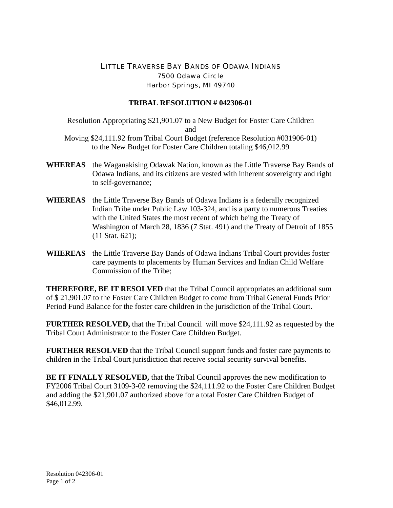## LITTLE TRAVERSE BAY BANDS OF ODAWA INDIANS 7500 Odawa Circle Harbor Springs, MI 49740

## **TRIBAL RESOLUTION # 042306-01**

Resolution Appropriating \$21,901.07 to a New Budget for Foster Care Children and

Moving \$24,111.92 from Tribal Court Budget (reference Resolution #031906-01) to the New Budget for Foster Care Children totaling \$46,012.99

- **WHEREAS** the Waganakising Odawak Nation, known as the Little Traverse Bay Bands of Odawa Indians, and its citizens are vested with inherent sovereignty and right to self-governance;
- **WHEREAS** the Little Traverse Bay Bands of Odawa Indians is a federally recognized Indian Tribe under Public Law 103-324, and is a party to numerous Treaties with the United States the most recent of which being the Treaty of Washington of March 28, 1836 (7 Stat. 491) and the Treaty of Detroit of 1855 (11 Stat. 621);
- **WHEREAS** the Little Traverse Bay Bands of Odawa Indians Tribal Court provides foster care payments to placements by Human Services and Indian Child Welfare Commission of the Tribe;

**THEREFORE, BE IT RESOLVED** that the Tribal Council appropriates an additional sum of \$ 21,901.07 to the Foster Care Children Budget to come from Tribal General Funds Prior Period Fund Balance for the foster care children in the jurisdiction of the Tribal Court.

**FURTHER RESOLVED,** that the Tribal Council will move \$24,111.92 as requested by the Tribal Court Administrator to the Foster Care Children Budget.

**FURTHER RESOLVED** that the Tribal Council support funds and foster care payments to children in the Tribal Court jurisdiction that receive social security survival benefits.

**BE IT FINALLY RESOLVED, that the Tribal Council approves the new modification to** FY2006 Tribal Court 3109-3-02 removing the \$24,111.92 to the Foster Care Children Budget and adding the \$21,901.07 authorized above for a total Foster Care Children Budget of \$46,012.99.